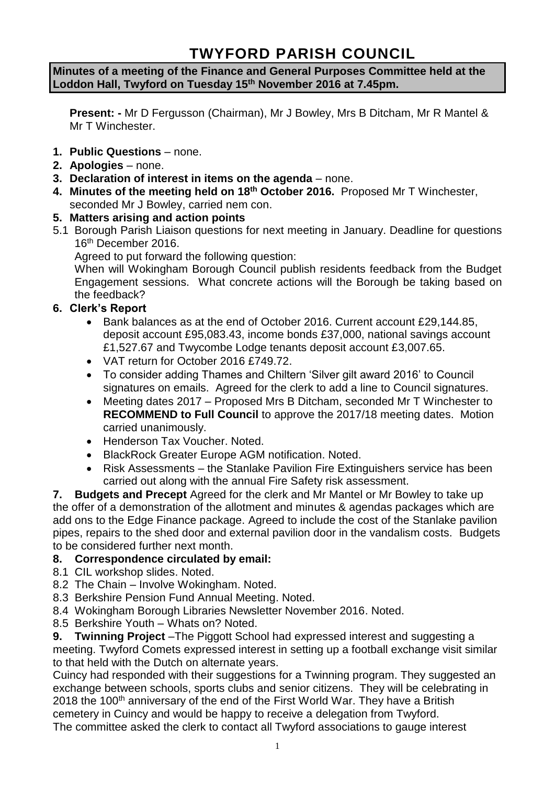# **TWYFORD PARISH COUNCIL**

## **Minutes of a meeting of the Finance and General Purposes Committee held at the Loddon Hall, Twyford on Tuesday 15th November 2016 at 7.45pm.**

**Present: -** Mr D Fergusson (Chairman), Mr J Bowley, Mrs B Ditcham, Mr R Mantel & Mr T Winchester.

- **1. Public Questions** none.
- **2. Apologies** none.
- **3. Declaration of interest in items on the agenda**  none.
- **4. Minutes of the meeting held on 18th October 2016.** Proposed Mr T Winchester, seconded Mr J Bowley, carried nem con.
- **5. Matters arising and action points**
- 5.1 Borough Parish Liaison questions for next meeting in January. Deadline for questions 16th December 2016.

Agreed to put forward the following question:

When will Wokingham Borough Council publish residents feedback from the Budget Engagement sessions. What concrete actions will the Borough be taking based on the feedback?

- **6. Clerk's Report**
	- Bank balances as at the end of October 2016. Current account £29,144.85, deposit account £95,083.43, income bonds £37,000, national savings account £1,527.67 and Twycombe Lodge tenants deposit account £3,007.65.
	- VAT return for October 2016 £749.72.
	- To consider adding Thames and Chiltern 'Silver gilt award 2016' to Council signatures on emails. Agreed for the clerk to add a line to Council signatures.
	- Meeting dates 2017 Proposed Mrs B Ditcham, seconded Mr T Winchester to **RECOMMEND to Full Council** to approve the 2017/18 meeting dates. Motion carried unanimously.
	- Henderson Tax Voucher. Noted.
	- BlackRock Greater Europe AGM notification. Noted.
	- Risk Assessments the Stanlake Pavilion Fire Extinguishers service has been carried out along with the annual Fire Safety risk assessment.

**7. Budgets and Precept** Agreed for the clerk and Mr Mantel or Mr Bowley to take up the offer of a demonstration of the allotment and minutes & agendas packages which are add ons to the Edge Finance package. Agreed to include the cost of the Stanlake pavilion pipes, repairs to the shed door and external pavilion door in the vandalism costs. Budgets to be considered further next month.

## **8. Correspondence circulated by email:**

- 8.1 CIL workshop slides. Noted.
- 8.2 The Chain Involve Wokingham. Noted.
- 8.3 Berkshire Pension Fund Annual Meeting. Noted.
- 8.4 Wokingham Borough Libraries Newsletter November 2016. Noted.
- 8.5 Berkshire Youth Whats on? Noted.

**9. Twinning Project** –The Piggott School had expressed interest and suggesting a meeting. Twyford Comets expressed interest in setting up a football exchange visit similar to that held with the Dutch on alternate years.

Cuincy had responded with their suggestions for a Twinning program. They suggested an exchange between schools, sports clubs and senior citizens. They will be celebrating in 2018 the 100<sup>th</sup> anniversary of the end of the First World War. They have a British cemetery in Cuincy and would be happy to receive a delegation from Twyford.

The committee asked the clerk to contact all Twyford associations to gauge interest